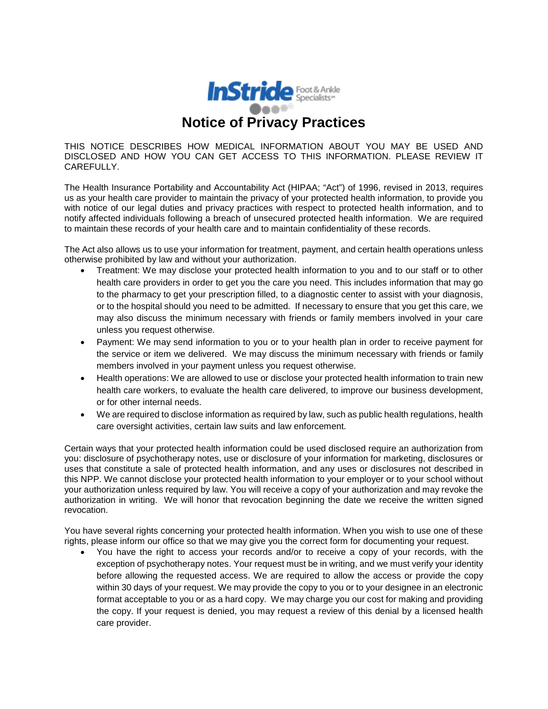

THIS NOTICE DESCRIBES HOW MEDICAL INFORMATION ABOUT YOU MAY BE USED AND DISCLOSED AND HOW YOU CAN GET ACCESS TO THIS INFORMATION. PLEASE REVIEW IT CAREFULLY.

The Health Insurance Portability and Accountability Act (HIPAA; "Act") of 1996, revised in 2013, requires us as your health care provider to maintain the privacy of your protected health information, to provide you with notice of our legal duties and privacy practices with respect to protected health information, and to notify affected individuals following a breach of unsecured protected health information. We are required to maintain these records of your health care and to maintain confidentiality of these records.

The Act also allows us to use your information for treatment, payment, and certain health operations unless otherwise prohibited by law and without your authorization.

- Treatment: We may disclose your protected health information to you and to our staff or to other health care providers in order to get you the care you need. This includes information that may go to the pharmacy to get your prescription filled, to a diagnostic center to assist with your diagnosis, or to the hospital should you need to be admitted. If necessary to ensure that you get this care, we may also discuss the minimum necessary with friends or family members involved in your care unless you request otherwise.
- Payment: We may send information to you or to your health plan in order to receive payment for the service or item we delivered. We may discuss the minimum necessary with friends or family members involved in your payment unless you request otherwise.
- Health operations: We are allowed to use or disclose your protected health information to train new health care workers, to evaluate the health care delivered, to improve our business development, or for other internal needs.
- We are required to disclose information as required by law, such as public health regulations, health care oversight activities, certain law suits and law enforcement.

Certain ways that your protected health information could be used disclosed require an authorization from you: disclosure of psychotherapy notes, use or disclosure of your information for marketing, disclosures or uses that constitute a sale of protected health information, and any uses or disclosures not described in this NPP. We cannot disclose your protected health information to your employer or to your school without your authorization unless required by law. You will receive a copy of your authorization and may revoke the authorization in writing. We will honor that revocation beginning the date we receive the written signed revocation.

You have several rights concerning your protected health information. When you wish to use one of these rights, please inform our office so that we may give you the correct form for documenting your request.

• You have the right to access your records and/or to receive a copy of your records, with the exception of psychotherapy notes. Your request must be in writing, and we must verify your identity before allowing the requested access. We are required to allow the access or provide the copy within 30 days of your request. We may provide the copy to you or to your designee in an electronic format acceptable to you or as a hard copy. We may charge you our cost for making and providing the copy. If your request is denied, you may request a review of this denial by a licensed health care provider.